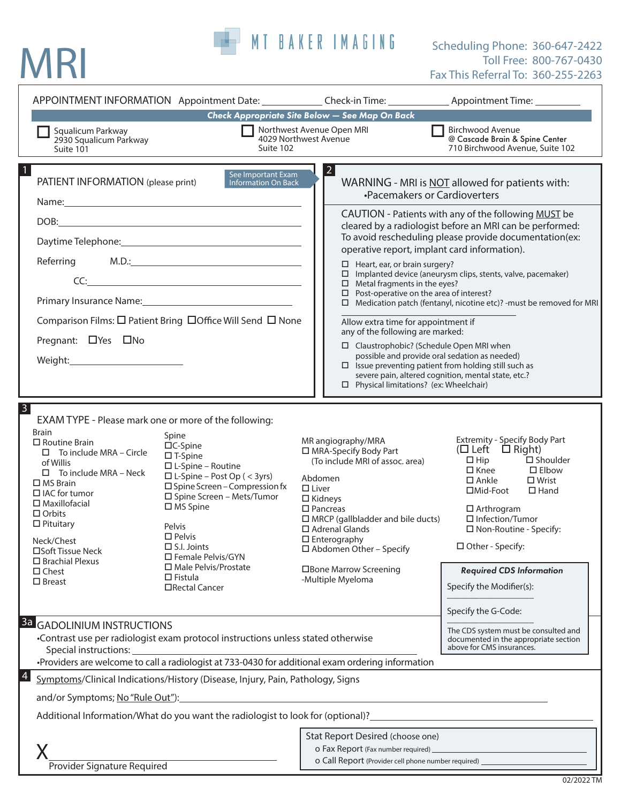# MRI

## MT BAKER IMAGING Scheduling Phone: 360-647-2422 Toll Free: 800-767-0430 Fax This Referral To: 360-255-2263

|                                                                                                                                                                                                                                                                                                                                                   |                                                                                                                                                                                                                                                                                                                                                                                                                                                                                             |                                                                                                                                                                                                                                                                                                                                     | APPOINTMENT INFORMATION Appointment Date: Check-in Time: ________________________ Appointment Time: __________                                                                                                                                                                                                                                                                                                                                                                                                                                                                                                                              |
|---------------------------------------------------------------------------------------------------------------------------------------------------------------------------------------------------------------------------------------------------------------------------------------------------------------------------------------------------|---------------------------------------------------------------------------------------------------------------------------------------------------------------------------------------------------------------------------------------------------------------------------------------------------------------------------------------------------------------------------------------------------------------------------------------------------------------------------------------------|-------------------------------------------------------------------------------------------------------------------------------------------------------------------------------------------------------------------------------------------------------------------------------------------------------------------------------------|---------------------------------------------------------------------------------------------------------------------------------------------------------------------------------------------------------------------------------------------------------------------------------------------------------------------------------------------------------------------------------------------------------------------------------------------------------------------------------------------------------------------------------------------------------------------------------------------------------------------------------------------|
| Squalicum Parkway<br>2930 Squalicum Parkway<br>Suite 101                                                                                                                                                                                                                                                                                          | Suite 102                                                                                                                                                                                                                                                                                                                                                                                                                                                                                   | Check Appropriate Site Below - See Map On Back<br>Northwest Avenue Open MRI<br>4029 Northwest Avenue                                                                                                                                                                                                                                | <b>Birchwood Avenue</b><br>@ Cascade Brain & Spine Center<br>710 Birchwood Avenue, Suite 102                                                                                                                                                                                                                                                                                                                                                                                                                                                                                                                                                |
| PATIENT INFORMATION (please print)<br>Pregnant: □ Yes □ No                                                                                                                                                                                                                                                                                        | See Important Exam<br><b>Information On Back</b><br>DOB: the contract of the contract of the contract of the contract of the contract of the contract of the contract of the contract of the contract of the contract of the contract of the contract of the contract of the contr<br>$CC:\underline{\hspace{2.5cm}}$<br>Primary Insurance Name: 2008 and 2008 and 2012 and 2013 and 2014 and 2014 and 2016 and 2017 and 201<br>Comparison Films: □ Patient Bring □ Office Will Send □ None | $\vert 2 \vert$<br>$\Box$ Heart, ear, or brain surgery?<br>$\Box$ Metal fragments in the eyes?<br>$\square$ Post-operative on the area of interest?<br>Allow extra time for appointment if<br>any of the following are marked:<br>$\Box$ Claustrophobic? (Schedule Open MRI when<br>$\Box$ Physical limitations? (ex: Wheelchair)   | WARNING - MRI is NOT allowed for patients with:<br>•Pacemakers or Cardioverters<br>CAUTION - Patients with any of the following MUST be<br>cleared by a radiologist before an MRI can be performed:<br>To avoid rescheduling please provide documentation(ex:<br>operative report, implant card information).<br>$\square$ Implanted device (aneurysm clips, stents, valve, pacemaker)<br>$\Box$ Medication patch (fentanyl, nicotine etc)? - must be removed for MRI<br>possible and provide oral sedation as needed)<br>$\Box$ Issue preventing patient from holding still such as<br>severe pain, altered cognition, mental state, etc.? |
| $\overline{3}$<br><b>Brain</b><br>$\Box$ Routine Brain<br>$\Box$ To include MRA – Circle<br>of Willis<br>$\Box$ To include MRA – Neck<br>$\Box$ MS Brain<br>$\Box$ IAC for tumor<br>$\Box$ Maxillofacial<br>$\Box$ Orbits<br>$\Box$ Pituitary<br>Neck/Chest<br>□Soft Tissue Neck<br>$\Box$ Brachial Plexus<br>$\square$ Chest<br>$\square$ Breast | EXAM TYPE - Please mark one or more of the following:<br>Spine<br>□C-Spine<br>$\square$ T-Spine<br>$\square$ L-Spine – Routine<br>$\Box$ L-Spine – Post Op ( < 3yrs)<br>$\square$ Spine Screen - Compression fx<br>□ Spine Screen - Mets/Tumor<br>$\Box$ MS Spine<br>Pelvis<br>$\square$ Pelvis<br>$\Box$ S.I. Joints<br>□ Female Pelvis/GYN<br>□ Male Pelvis/Prostate<br>$\square$ Fistula<br>□Rectal Cancer                                                                               | MR angiography/MRA<br>□ MRA-Specify Body Part<br>(To include MRI of assoc. area)<br>Abdomen<br>$\Box$ Liver<br>$\Box$ Kidneys<br>$\square$ Pancreas<br>$\Box$ MRCP (gallbladder and bile ducts)<br>$\Box$ Adrenal Glands<br>$\square$ Enterography<br>$\Box$ Abdomen Other - Specify<br>□Bone Marrow Screening<br>-Multiple Myeloma | Extremity - Specify Body Part<br>(□ Left □ Right)<br>$\Box$ Hip<br>$\square$ Shoulder<br>$\square$ Knee<br>$\square$ Elbow<br>$\square$ Ankle<br>$\square$ Wrist<br>□Mid-Foot<br>$\Box$ Hand<br>$\Box$ Arthrogram<br>$\Box$ Infection/Tumor<br>□ Non-Routine - Specify:<br>□ Other - Specify:<br><b>Required CDS Information</b><br>Specify the Modifier(s):<br>Specify the G-Code:                                                                                                                                                                                                                                                         |
| <b>3a GADOLINIUM INSTRUCTIONS</b><br>•Contrast use per radiologist exam protocol instructions unless stated otherwise<br>Special instructions:<br>•Providers are welcome to call a radiologist at 733-0430 for additional exam ordering information                                                                                               |                                                                                                                                                                                                                                                                                                                                                                                                                                                                                             |                                                                                                                                                                                                                                                                                                                                     | The CDS system must be consulted and<br>documented in the appropriate section<br>above for CMS insurances.                                                                                                                                                                                                                                                                                                                                                                                                                                                                                                                                  |
| 4<br>and/or Symptoms; No "Rule Out"):                                                                                                                                                                                                                                                                                                             | Symptoms/Clinical Indications/History (Disease, Injury, Pain, Pathology, Signs<br>Additional Information/What do you want the radiologist to look for (optional)?                                                                                                                                                                                                                                                                                                                           |                                                                                                                                                                                                                                                                                                                                     |                                                                                                                                                                                                                                                                                                                                                                                                                                                                                                                                                                                                                                             |
| Provider Signature Required                                                                                                                                                                                                                                                                                                                       |                                                                                                                                                                                                                                                                                                                                                                                                                                                                                             | Stat Report Desired (choose one)                                                                                                                                                                                                                                                                                                    | O Call Report (Provider cell phone number required) ____________________________                                                                                                                                                                                                                                                                                                                                                                                                                                                                                                                                                            |